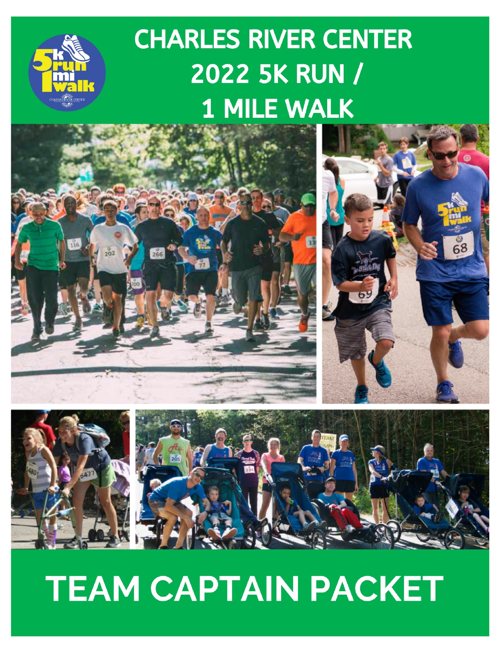# **CHARLES RIVER CENTER 2022 5K RUN / 1 MILE WALK**





# **TEAM CAPTAIN PACKET**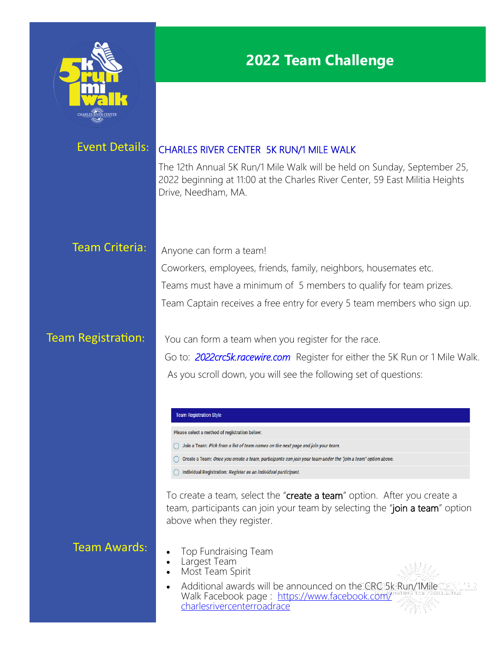

## **2022 Team Challenge**

## Event Details: CHARLES RIVER CENTER 5K RUN/1 MILE WALK

The 12th Annual 5K Run/1 Mile Walk will be held on Sunday, September 25, 2022 beginning at 11:00 at the Charles River Center, 59 East Militia Heights Drive, Needham, MA.

## Team Criteria: Anyone can form a team!

Coworkers, employees, friends, family, neighbors, housemates etc. Teams must have a minimum of 5 members to qualify for team prizes. Team Captain receives a free entry for every 5 team members who sign up.

**Team Registration:** You can form a team when you register for the race.

Go to: *2022crc5k.racewire.com* Register for either the 5K Run or 1 Mile Walk. As you scroll down, you will see the following set of questions:

## **Team Registration Style**

Please select a method of registration below:

- ( ) Join a Team: Pick from a list of team names on the next page and join your team.
- O Create a Team: Once you create a team, participants can join your team under the "join a team" option above.
- ( Individual Registration: Register as an individual participant.

To create a team, select the "create a team" option. After you create a team, participants can join your team by selecting the "join a team" option above when they register.

## Team Awards:

- Top Fundraising Team
- Largest Team
- Most Team Spirit
- Additional awards will be announced on the CRC 5k Run/1Mile Walk Facebook page : [https://www.facebook.com/](https://www.facebook.com/charlesrivercenterroadrace) [charlesrivercenterroadrace](https://www.facebook.com/charlesrivercenterroadrace)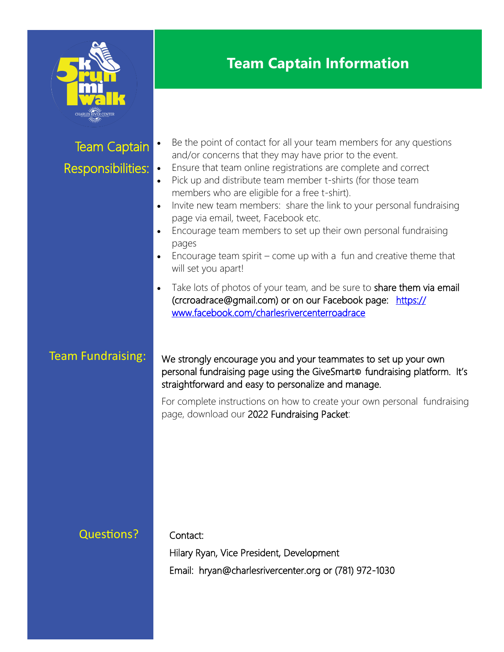

# **Team Captain Information**

| <b>Team Captain</b><br>Responsibilities: | Be the point of contact for all your team members for any questions<br>and/or concerns that they may have prior to the event.<br>Ensure that team online registrations are complete and correct<br>$\bullet$<br>Pick up and distribute team member t-shirts (for those team<br>$\bullet$<br>members who are eligible for a free t-shirt).<br>Invite new team members: share the link to your personal fundraising<br>$\bullet$<br>page via email, tweet, Facebook etc.<br>Encourage team members to set up their own personal fundraising<br>$\bullet$<br>pages<br>Encourage team spirit $-$ come up with a fun and creative theme that<br>will set you apart! |
|------------------------------------------|----------------------------------------------------------------------------------------------------------------------------------------------------------------------------------------------------------------------------------------------------------------------------------------------------------------------------------------------------------------------------------------------------------------------------------------------------------------------------------------------------------------------------------------------------------------------------------------------------------------------------------------------------------------|
| <b>Team Fundraising:</b>                 | Take lots of photos of your team, and be sure to share them via email<br>(crcroadrace@gmail.com) or on our Facebook page: https://<br>www.facebook.com/charlesrivercenterroadrace<br>We strongly encourage you and your teammates to set up your own<br>personal fundraising page using the GiveSmarto fundraising platform. It's<br>straightforward and easy to personalize and manage.                                                                                                                                                                                                                                                                       |
|                                          | For complete instructions on how to create your own personal fundraising<br>page, download our 2022 Fundraising Packet:                                                                                                                                                                                                                                                                                                                                                                                                                                                                                                                                        |
| <b>Questions?</b>                        | Contact:<br>Hilary Ryan, Vice President, Development                                                                                                                                                                                                                                                                                                                                                                                                                                                                                                                                                                                                           |
|                                          | Email: hryan@charlesrivercenter.org or (781) 972-1030                                                                                                                                                                                                                                                                                                                                                                                                                                                                                                                                                                                                          |